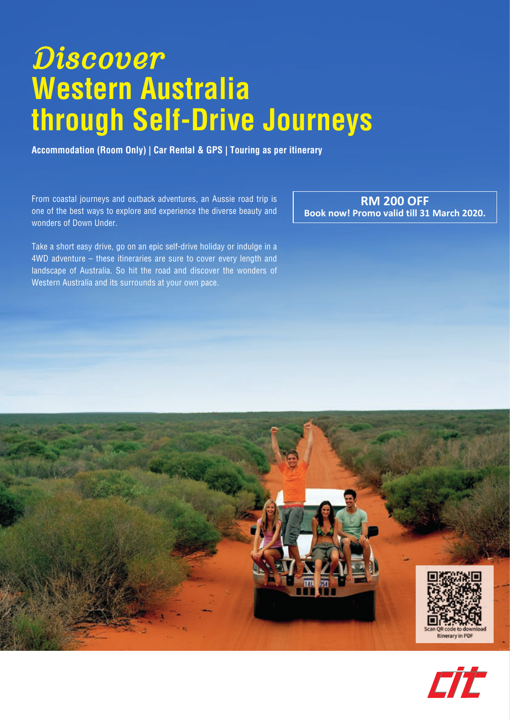# *Discover* **Western Australia through Self-Drive Journeys**

**Accommodation (Room Only) | Car Rental & GPS | Touring as per itinerary**

From coastal journeys and outback adventures, an Aussie road trip is one of the best ways to explore and experience the diverse beauty and wonders of Down Under.

Take a short easy drive, go on an epic self-drive holiday or indulge in a 4WD adventure – these itineraries are sure to cover every length and landscape of Australia. So hit the road and discover the wonders of Western Australia and its surrounds at your own pace.

**RM 200 OFF Book now! Promo valid till 31 March 2020.** 



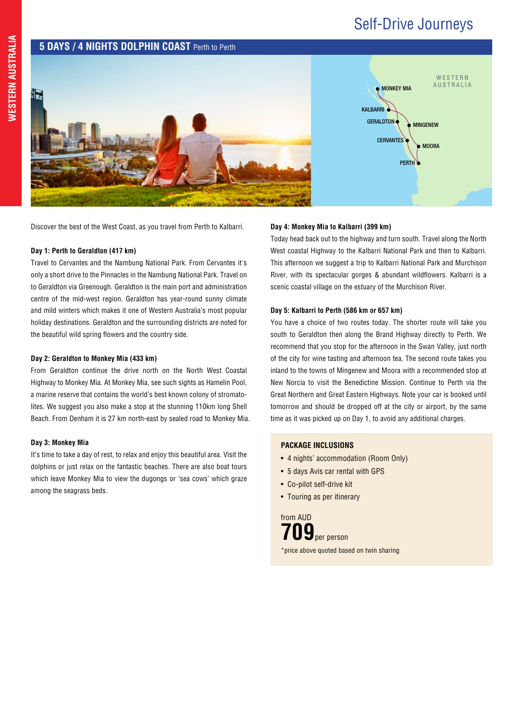## Self-Drive Journeys



Discover the best of the West Coast, as you travel from Perth to Kalbarri.

#### **Day 1: Perth to Geraldton (417 km)**

Travel to Cervantes and the Nambung National Park. From Cervantes it's only a short drive to the Pinnacles in the Nambung National Park. Travel on to Geraldton via Greenough. Geraldton is the main port and administration centre of the mid-west region. Geraldton has year-round sunny climate and mild winters which makes it one of Western Australia's most popular holiday destinations. Geraldton and the surrounding districts are noted for the beautiful wild spring flowers and the country side.

#### **Day 2: Geraldton to Monkey Mia (433 km)**

From Geraldton continue the drive north on the North West Coastal Highway to Monkey Mia. At Monkey Mia, see such sights as Hamelin Pool, a marine reserve that contains the world's best known colony of stromatolites. We suggest you also make a stop at the stunning 110km long Shell Beach. From Denham it is 27 km north-east by sealed road to Monkey Mia.

#### **Day 3: Monkey Mia**

It's time to take a day of rest, to relax and enjoy this beautiful area. Visit the dolphins or just relax on the fantastic beaches. There are also boat tours which leave Monkey Mia to view the dugongs or 'sea cows' which graze among the seagrass beds.

#### **Day 4: Monkey Mia to Kalbarri (399 km)**

Today head back out to the highway and turn south. Travel along the North West coastal Highway to the Kalbarri National Park and then to Kalbarri. This afternoon we suggest a trip to Kalbarri National Park and Murchison River, with its spectacular gorges & abundant wildflowers. Kalbarri is a scenic coastal village on the estuary of the Murchison River.

#### **Day 5: Kalbarri to Perth (586 km or 657 km)**

You have a choice of two routes today. The shorter route will take you south to Geraldton then along the Brand Highway directly to Perth. We recommend that you stop for the afternoon in the Swan Valley, just north of the city for wine tasting and afternoon tea. The second route takes you inland to the towns of Mingenew and Moora with a recommended stop at New Norcia to visit the Benedictine Mission. Continue to Perth via the Great Northern and Great Eastern Highways. Note your car is booked until tomorrow and should be dropped off at the city or airport, by the same time as it was picked up on Day 1, to avoid any additional charges.

#### **PACKAGE INCLUSIONS**

- 4 nights' accommodation (Room Only)
- 5 days Avis car rental with GPS
- Co-pilot self-drive kit
- Touring as per itinerary

**709**per person \*price above quoted based on twin sharing from AUD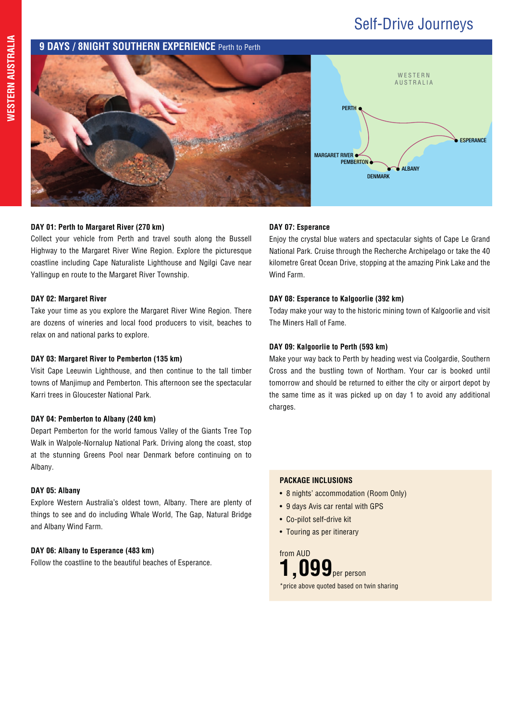# Self-Drive Journeys

### **9 DAYS / 8NIGHT SOUTHERN EXPERIENCE** Perth to Perth



#### **DAY 01: Perth to Margaret River (270 km)**

Collect your vehicle from Perth and travel south along the Bussell Highway to the Margaret River Wine Region. Explore the picturesque coastline including Cape Naturaliste Lighthouse and Ngilgi Cave near Yallingup en route to the Margaret River Township.

#### **DAY 02: Margaret River**

Take your time as you explore the Margaret River Wine Region. There are dozens of wineries and local food producers to visit, beaches to relax on and national parks to explore.

#### **DAY 03: Margaret River to Pemberton (135 km)**

Visit Cape Leeuwin Lighthouse, and then continue to the tall timber towns of Manjimup and Pemberton. This afternoon see the spectacular Karri trees in Gloucester National Park.

#### **DAY 04: Pemberton to Albany (240 km)**

Depart Pemberton for the world famous Valley of the Giants Tree Top Walk in Walpole-Nornalup National Park. Driving along the coast, stop at the stunning Greens Pool near Denmark before continuing on to Albany.

#### **DAY 05: Albany**

Explore Western Australia's oldest town, Albany. There are plenty of things to see and do including Whale World, The Gap, Natural Bridge and Albany Wind Farm.

#### **DAY 06: Albany to Esperance (483 km)**

Follow the coastline to the beautiful beaches of Esperance.

#### **DAY 07: Esperance**

Enjoy the crystal blue waters and spectacular sights of Cape Le Grand National Park. Cruise through the Recherche Archipelago or take the 40 kilometre Great Ocean Drive, stopping at the amazing Pink Lake and the Wind Farm.

#### **DAY 08: Esperance to Kalgoorlie (392 km)**

Today make your way to the historic mining town of Kalgoorlie and visit The Miners Hall of Fame.

#### **DAY 09: Kalgoorlie to Perth (593 km)**

Make your way back to Perth by heading west via Coolgardie, Southern Cross and the bustling town of Northam. Your car is booked until tomorrow and should be returned to either the city or airport depot by the same time as it was picked up on day 1 to avoid any additional charges.

#### **PACKAGE INCLUSIONS**

- 8 nights' accommodation (Room Only)
- 9 days Avis car rental with GPS
- Co-pilot self-drive kit
- Touring as per itinerary

**1,099**per person \*price above quoted based on twin sharing from AUD